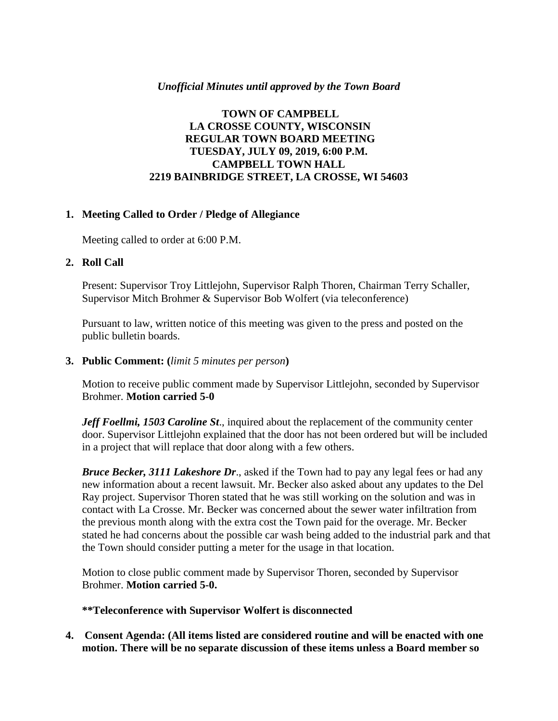## *Unofficial Minutes until approved by the Town Board*

# **TOWN OF CAMPBELL LA CROSSE COUNTY, WISCONSIN REGULAR TOWN BOARD MEETING TUESDAY, JULY 09, 2019, 6:00 P.M. CAMPBELL TOWN HALL 2219 BAINBRIDGE STREET, LA CROSSE, WI 54603**

### **1. Meeting Called to Order / Pledge of Allegiance**

Meeting called to order at 6:00 P.M.

### **2. Roll Call**

Present: Supervisor Troy Littlejohn, Supervisor Ralph Thoren, Chairman Terry Schaller, Supervisor Mitch Brohmer & Supervisor Bob Wolfert (via teleconference)

Pursuant to law, written notice of this meeting was given to the press and posted on the public bulletin boards.

**3. Public Comment: (***limit 5 minutes per person***)**

Motion to receive public comment made by Supervisor Littlejohn, seconded by Supervisor Brohmer. **Motion carried 5-0**

*Jeff Foellmi, 1503 Caroline St*., inquired about the replacement of the community center door. Supervisor Littlejohn explained that the door has not been ordered but will be included in a project that will replace that door along with a few others.

*Bruce Becker, 3111 Lakeshore Dr*., asked if the Town had to pay any legal fees or had any new information about a recent lawsuit. Mr. Becker also asked about any updates to the Del Ray project. Supervisor Thoren stated that he was still working on the solution and was in contact with La Crosse. Mr. Becker was concerned about the sewer water infiltration from the previous month along with the extra cost the Town paid for the overage. Mr. Becker stated he had concerns about the possible car wash being added to the industrial park and that the Town should consider putting a meter for the usage in that location.

Motion to close public comment made by Supervisor Thoren, seconded by Supervisor Brohmer. **Motion carried 5-0.**

**\*\*Teleconference with Supervisor Wolfert is disconnected**

**4. Consent Agenda: (All items listed are considered routine and will be enacted with one motion. There will be no separate discussion of these items unless a Board member so**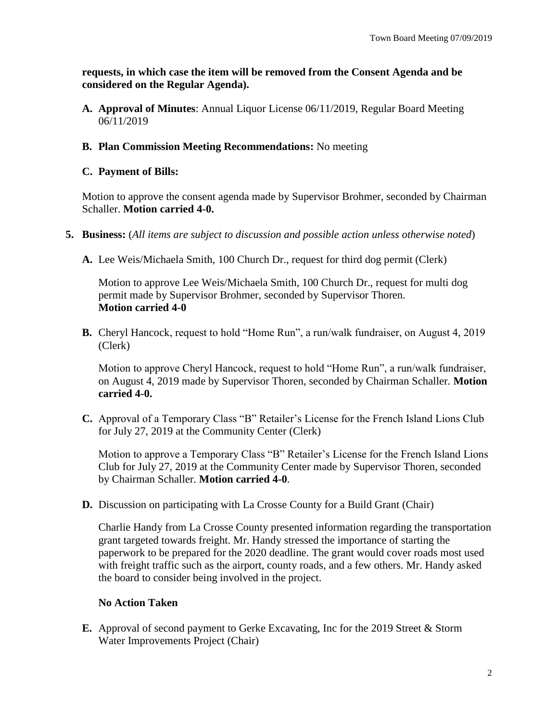**requests, in which case the item will be removed from the Consent Agenda and be considered on the Regular Agenda).**

**A. Approval of Minutes**: Annual Liquor License 06/11/2019, Regular Board Meeting 06/11/2019

## **B. Plan Commission Meeting Recommendations:** No meeting

### **C. Payment of Bills:**

Motion to approve the consent agenda made by Supervisor Brohmer, seconded by Chairman Schaller. **Motion carried 4-0.**

- **5. Business:** (*All items are subject to discussion and possible action unless otherwise noted*)
	- **A.** Lee Weis/Michaela Smith, 100 Church Dr., request for third dog permit (Clerk)

Motion to approve Lee Weis/Michaela Smith, 100 Church Dr., request for multi dog permit made by Supervisor Brohmer, seconded by Supervisor Thoren. **Motion carried 4-0**

**B.** Cheryl Hancock, request to hold "Home Run", a run/walk fundraiser, on August 4, 2019 (Clerk)

Motion to approve Cheryl Hancock, request to hold "Home Run", a run/walk fundraiser, on August 4, 2019 made by Supervisor Thoren, seconded by Chairman Schaller. **Motion carried 4-0.**

**C.** Approval of a Temporary Class "B" Retailer's License for the French Island Lions Club for July 27, 2019 at the Community Center (Clerk)

Motion to approve a Temporary Class "B" Retailer's License for the French Island Lions Club for July 27, 2019 at the Community Center made by Supervisor Thoren, seconded by Chairman Schaller. **Motion carried 4-0**.

**D.** Discussion on participating with La Crosse County for a Build Grant (Chair)

Charlie Handy from La Crosse County presented information regarding the transportation grant targeted towards freight. Mr. Handy stressed the importance of starting the paperwork to be prepared for the 2020 deadline. The grant would cover roads most used with freight traffic such as the airport, county roads, and a few others. Mr. Handy asked the board to consider being involved in the project.

### **No Action Taken**

**E.** Approval of second payment to Gerke Excavating, Inc for the 2019 Street & Storm Water Improvements Project (Chair)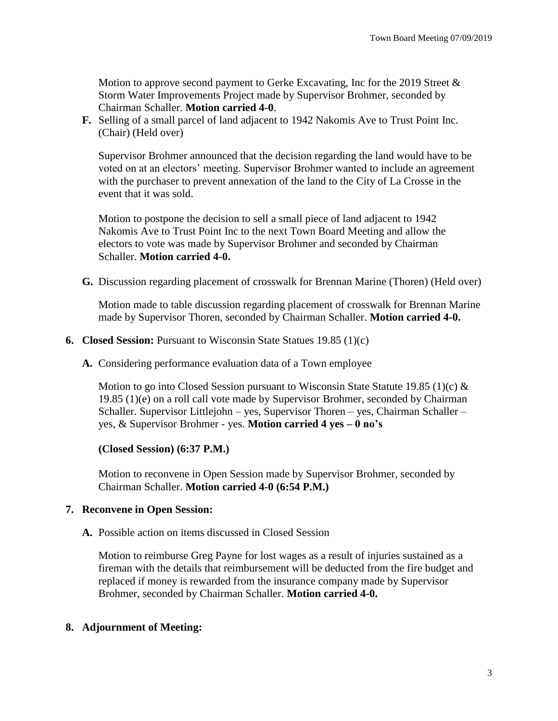Motion to approve second payment to Gerke Excavating, Inc for the 2019 Street & Storm Water Improvements Project made by Supervisor Brohmer, seconded by Chairman Schaller. **Motion carried 4-0**.

**F.** Selling of a small parcel of land adjacent to 1942 Nakomis Ave to Trust Point Inc. (Chair) (Held over)

Supervisor Brohmer announced that the decision regarding the land would have to be voted on at an electors' meeting. Supervisor Brohmer wanted to include an agreement with the purchaser to prevent annexation of the land to the City of La Crosse in the event that it was sold.

Motion to postpone the decision to sell a small piece of land adjacent to 1942 Nakomis Ave to Trust Point Inc to the next Town Board Meeting and allow the electors to vote was made by Supervisor Brohmer and seconded by Chairman Schaller. **Motion carried 4-0.**

**G.** Discussion regarding placement of crosswalk for Brennan Marine (Thoren) (Held over)

Motion made to table discussion regarding placement of crosswalk for Brennan Marine made by Supervisor Thoren, seconded by Chairman Schaller. **Motion carried 4-0.**

- **6. Closed Session:** Pursuant to Wisconsin State Statues 19.85 (1)(c)
	- **A.** Considering performance evaluation data of a Town employee

Motion to go into Closed Session pursuant to Wisconsin State Statute 19.85 (1)(c)  $\&$ 19.85 (1)(e) on a roll call vote made by Supervisor Brohmer, seconded by Chairman Schaller. Supervisor Littlejohn – yes, Supervisor Thoren – yes, Chairman Schaller – yes, & Supervisor Brohmer - yes. **Motion carried 4 yes – 0 no's**

**(Closed Session) (6:37 P.M.)**

Motion to reconvene in Open Session made by Supervisor Brohmer, seconded by Chairman Schaller. **Motion carried 4-0 (6:54 P.M.)**

### **7. Reconvene in Open Session:**

**A.** Possible action on items discussed in Closed Session

Motion to reimburse Greg Payne for lost wages as a result of injuries sustained as a fireman with the details that reimbursement will be deducted from the fire budget and replaced if money is rewarded from the insurance company made by Supervisor Brohmer, seconded by Chairman Schaller. **Motion carried 4-0.**

### **8. Adjournment of Meeting:**